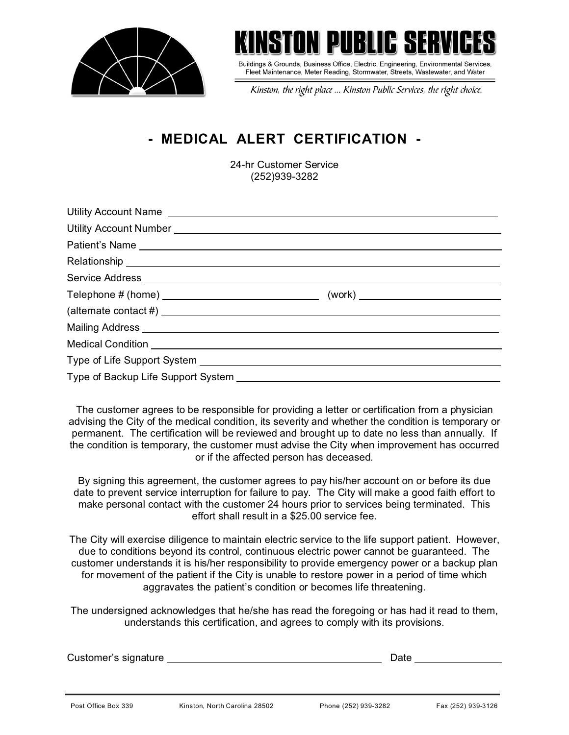



Buildings & Grounds, Business Office, Electric, Engineering, Environmental Services, Fleet Maintenance, Meter Reading, Stormwater, Streets, Wastewater, and Water

Kinston, the right place ... Kinston Public Services, the right choice.

## **- MEDICAL ALERT CERTIFICATION -**

24-hr Customer Service (252)939-3282

| Utility Account Name Law and Contract and Contract and Contract and Contract and Contract and Contract and Contract and Contract and Contract and Contract and Contract and Contract and Contract and Contract and Contract an |  |
|--------------------------------------------------------------------------------------------------------------------------------------------------------------------------------------------------------------------------------|--|
|                                                                                                                                                                                                                                |  |
| Patient's Name experience and the set of the set of the set of the set of the set of the set of the set of the set of the set of the set of the set of the set of the set of the set of the set of the set of the set of the s |  |
|                                                                                                                                                                                                                                |  |
|                                                                                                                                                                                                                                |  |
|                                                                                                                                                                                                                                |  |
| $\phi$ (alternate contact #) $\Box$                                                                                                                                                                                            |  |
| Mailing Address <b>Mailing Address Mailing Address Mailing Address Mailing Address</b>                                                                                                                                         |  |
| Medical Condition <u>experience</u> and the condition of the condition of the condition of the condition of the condition                                                                                                      |  |
|                                                                                                                                                                                                                                |  |
|                                                                                                                                                                                                                                |  |

The customer agrees to be responsible for providing a letter or certification from a physician advising the City of the medical condition, its severity and whether the condition is temporary or permanent. The certification will be reviewed and brought up to date no less than annually. If the condition is temporary, the customer must advise the City when improvement has occurred or if the affected person has deceased.

By signing this agreement, the customer agrees to pay his/her account on or before its due date to prevent service interruption for failure to pay. The City will make a good faith effort to make personal contact with the customer 24 hours prior to services being terminated. This effort shall result in a \$25.00 service fee.

The City will exercise diligence to maintain electric service to the life support patient. However, due to conditions beyond its control, continuous electric power cannot be guaranteed. The customer understands it is his/her responsibility to provide emergency power or a backup plan for movement of the patient if the City is unable to restore power in a period of time which aggravates the patient's condition or becomes life threatening.

The undersigned acknowledges that he/she has read the foregoing or has had it read to them, understands this certification, and agrees to comply with its provisions.

| Customer's signature |                               | Date                 |                    |  |  |
|----------------------|-------------------------------|----------------------|--------------------|--|--|
|                      |                               |                      |                    |  |  |
| Post Office Box 339  | Kinston, North Carolina 28502 | Phone (252) 939-3282 | Fax (252) 939-3126 |  |  |